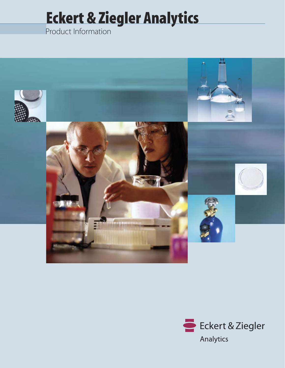# Eckert & Ziegler Analytics

Product Information



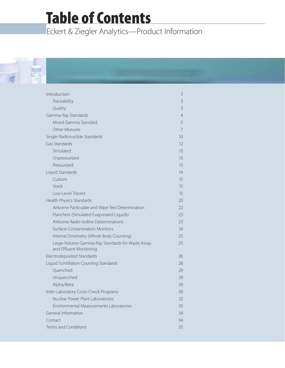## Table of Contents

Eckert & Ziegler Analytics—Product Information



| Introduction                                                                | 3              |
|-----------------------------------------------------------------------------|----------------|
| Traceability                                                                | 3              |
| Quality                                                                     | $\mathsf{3}$   |
| Gamma-Ray Standards                                                         | $\overline{4}$ |
| Mixed Gamma Standard                                                        | 5              |
| Other Mixtures                                                              | 7              |
| Single-Radionuclide Standards                                               | 10             |
| Gas Standards                                                               | 12             |
| Simulated                                                                   | 13             |
| Unpressurized                                                               | 13             |
| Pressurized                                                                 | 13             |
| Liquid Standards                                                            | 14             |
| Custom                                                                      | 15             |
| Stock                                                                       | 15             |
| Low-Level Tracers                                                           | 15             |
| Health Physics Standards                                                    | 20             |
| Airborne Particulate and Wipe Test Determination                            | 22             |
| Planchets (Simulated Evaporated Liquids)                                    | 23             |
| Airborne Radio-Iodine Determinations                                        | 23             |
| Surface-Contamination Monitors                                              | 24             |
| Internal Dosimetry (Whole Body Counting)                                    | 25             |
| Large-Volume Gamma-Ray Standards for Waste Assay<br>and Effluent Monitoring | 25             |
| Electrodeposited Standards                                                  | 26             |
| Liquid Scintillation Counting Standards                                     | 28             |
| Quenched                                                                    | 29             |
| Unquenched                                                                  | 29             |
| Alpha/Beta                                                                  | 29             |
| Inter-Laboratory Cross-Check Programs                                       | 30             |
| Nuclear Power Plant Laboratories                                            | 32             |
| Environmental Measurements Laboratories                                     | 33             |
| General Information                                                         | 34             |
| Contact                                                                     | 34             |
| Terms and Conditions                                                        | 35             |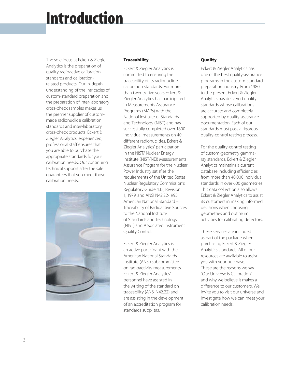## Introduction

The sole focus at Eckert & Ziegler Analytics is the preparation of quality radioactive calibration standards and calibrationrelated products. Our in-depth understanding of the intricacies of custom-standard preparation and the preparation of inter-laboratory cross-check samples makes us the premier supplier of custommade radionuclide calibration standards and inter-laboratory cross-check products. Eckert & Ziegler Analytics' experienced, professional staff ensures that you are able to purchase the appropriate standards for your calibration needs. Our continuing technical support after the sale guarantees that you meet those calibration needs.



## **Traceability**

Eckert & Ziegler Analytics is committed to ensuring the traceability of its radionuclide calibration standards. For more than twenty-five years Eckert & Ziegler Analytics has participated in Measurements Assurance Programs (MAPs) with the National Institute of Standards and Technology (NIST) and has successfully completed over 1800 individual measurements on 40 different radionuclides. Eckert & Ziegler Analytics' participation in the NIST/ Nuclear Energy Institute (NIST/NEI) Measurements Assurance Program for the Nuclear Power Industry satisfies the requirements of the United States' Nuclear Regulatory Commission's Regulatory Guide 4.15, Revision 1, 1979, and ANSI N42.22-1995 American National Standard – Traceability of Radioactive Sources to the National Institute of Standards and Technology (NIST) and Associated Instrument Quality Control.

Eckert & Ziegler Analytics is an active participant with the American National Standards Institute (ANSI) subcommittee on radioactivity measurements. Eckert & Ziegler Analytics' personnel have assisted in the writing of the standard on traceability (ANSI N42.22) and are assisting in the development of an accreditation program for standards suppliers.

## **Quality**

Eckert & Ziegler Analytics has one of the best quality-assurance programs in the custom-standard preparation industry. From 1980 to the present Eckert & Ziegler Analytics has delivered quality standards whose calibrations are accurate and completely supported by quality-assurance documentation. Each of our standards must pass a rigorous quality-control testing process.

For the quality-control testing of custom-geometry gammaray standards, Eckert & Ziegler Analytics maintains a current database including efficiencies from more than 40,000 individual standards in over 600 geometries. This data collection also allows Eckert & Ziegler Analytics to assist its customers in making informed decisions when choosing geometries and optimum activities for calibrating detectors.

These services are included as part of the package when purchasing Eckert & Ziegler Analytics standards. All of our resources are available to assist you with your purchase. These are the reasons we say "Our Universe is Calibration" and why we believe it makes a difference to our customers. We invite you to visit our universe and investigate how we can meet your calibration needs.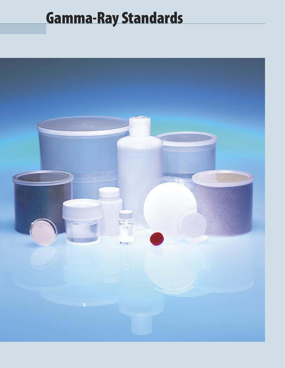# Gamma-Ray Standards

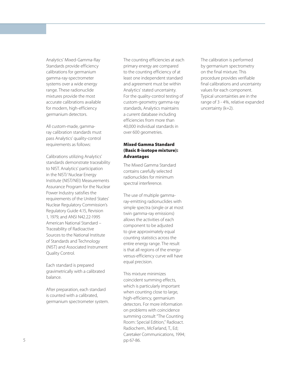Analytics' Mixed-Gamma-Ray Standards provide efficiency calibrations for germanium gamma-ray-spectrometer systems over a wide energy range. These radionuclide mixtures provide the most accurate calibrations available for modern, high-efficiency germanium detectors.

All custom-made, gammaray calibration standards must pass Analytics' quality-control requirements as follows:

Calibrations utilizing Analytics' standards demonstrate traceability to NIST. Analytics' participation in the NIST/ Nuclear Energy Institute (NIST/NEI) Measurements Assurance Program for the Nuclear Power Industry satisfies the requirements of the United States' Nuclear Regulatory Commission's Regulatory Guide 4.15, Revision 1, 1979, and ANSI N42.22-1995 American National Standard – Traceability of Radioactive Sources to the National Institute of Standards and Technology (NIST) and Associated Instrument Quality Control.

Each standard is prepared gravimetrically with a calibrated balance.

After preparation, each standard is counted with a calibrated, germanium spectrometer system. The counting efficiencies at each primary energy are compared to the counting efficiency of at least one independent standard and agreement must be within Analytics' stated uncertainty. For the quality-control testing of custom-geometry gamma-ray standards, Analytics maintains a current database including efficiencies from more than 40,000 individual standards in over 600 geometries.

## Mixed Gamma Standard (Basic 8-isotope mixture): Advantages

The Mixed Gamma Standard contains carefully selected radionuclides for minimum spectral interference.

The use of multiple gammaray-emitting radionuclides with simple spectra (single or at most twin gamma-ray emissions) allows the activities of each component to be adjusted to give approximately equal counting statistics across the entire energy range. The result is that all regions of the energyversus-efficiency curve will have equal precision.

This mixture minimizes coincident summing effects, which is particularly important when counting close to large, high-efficiency, germanium detectors. For more information on problems with coincidence summing consult "The Counting Room: Special Edition," Radioact. Radiochem., McFarland, T., Ed; Caretaker Communications, 1994; pp 67-86.

The calibration is performed by germanium spectrometry on the final mixture. This procedure provides verifiable final calibrations and uncertainty values for each component. Typical uncertainties are in the range of 3 - 4%, relative expanded uncertainty (k=2).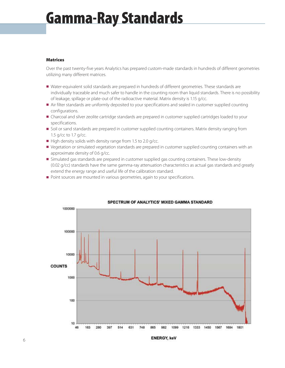## Gamma-Ray Standards

## **Matrices**

Over the past twenty-five years Analytics has prepared custom-made standards in hundreds of different geometries utilizing many different matrices.

- n Water-equivalent solid standards are prepared in hundreds of different geometries. These standards are individually traceable and much safer to handle in the counting room than liquid standards. There is no possibility of leakage, spillage or plate-out of the radioactive material. Matrix density is 1.15 g/cc.
- n Air filter standards are uniformly deposited to your specifications and sealed in customer supplied counting configurations.
- n Charcoal and silver zeolite cartridge standards are prepared in customer supplied cartridges loaded to your specifications.
- **Soil or sand standards are prepared in customer supplied counting containers. Matrix density ranging from** 1.5 g/cc to 1.7 g/cc.
- $\blacksquare$  High density solids with density range from 1.5 to 2.0 g/cc.
- **Vegetation or simulated vegetation standards are prepared in customer supplied counting containers with an** approximate density of 0.6 g/cc.
- n Simulated gas standards are prepared in customer supplied gas counting containers. These low-density (0.02 g/cc) standards have the same gamma-ray attenuation characteristics as actual gas standards and greatly extend the energy range and useful life of the calibration standard.
- Point sources are mounted in various geometries, again to your specifications.



### SPECTRUM OF ANALYTICS' MIXED GAMMA STANDARD

**ENERGY, keV**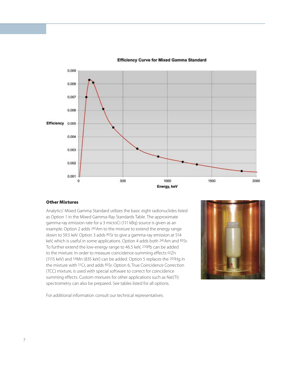

### **Efficiency Curve for Mixed Gamma Standard**

### Other Mixtures

Analytics' Mixed Gamma Standard utilizes the basic eight radionuclides listed as Option 1 in the Mixed Gamma-Ray Standards Table. The approximate gamma-ray emission rate for a 3 microCi (111 kBq) source is given as an example. Option 2 adds 241Am to the mixture to extend the energy range down to 59.5 keV. Option 3 adds 85Sr to give a gamma-ray emission at 514 keV, which is useful in some applications. Option 4 adds both 241Am and 85Sr. To further extend the low-energy range to 46.5 keV, 210Pb can be added to the mixture. In order to measure coincidence-summing effects 65Zn (1115 keV) and 54Mn (835 keV) can be added. Option 5 replaces the 203Hg in the mixture with 51Cr, and adds 85Sr. Option 6, True Coincidence Correction (TCC) mixture, is used with special software to correct for coincidence summing effects. Custom mixtures for other applications such as NaI(TI) spectrometry can also be prepared. See tables listed for all options.



For additional information consult our technical representatives.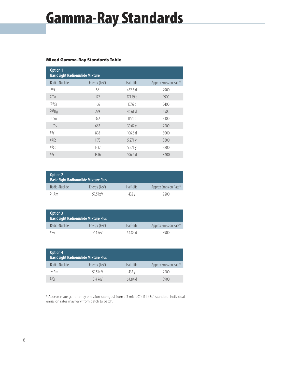## Gamma-Ray Standards

## Mixed Gamma-Ray Standards Table

| Option 1<br><b>Basic Eight Radionuclide Mixture</b> |              |           |                       |
|-----------------------------------------------------|--------------|-----------|-----------------------|
| Radio-Nuclide                                       | Energy (keV) | Half-Life | Approx Emission Rate* |
| 109 <sub>rd</sub>                                   | 88           | 462.6d    | 2900                  |
| 57 <sub>0</sub>                                     | 122          | 271.79 d  | 1900                  |
| 139(e)                                              | 166          | 137.6d    | 2400                  |
| 203Hq                                               | 279          | 46.61 d   | 4500                  |
| 1135n                                               | 392          | 115.1 $d$ | 3300                  |
| $137\zeta$                                          | 662          | 30.07 y   | 2200                  |
| 88Y                                                 | 898          | 106.6d    | 8000                  |
| 60 <sub>0</sub>                                     | 1173         | 5.271y    | 3800                  |
| 60 <sub>0</sub>                                     | 1332         | 5.271y    | 3800                  |
| 88Y                                                 | 1836         | 106.6d    | 8400                  |

| <b>Option 2</b> | <b>Basic Eight Radionuclide Mixture Plus</b> |           |                       |
|-----------------|----------------------------------------------|-----------|-----------------------|
| Radio-Nuclide   | Energy (keV)                                 | Half-Life | Approx Emission Rate* |
| 241Am           | 59 5 keV                                     | 432 v     | 2200                  |

| Option 3      | <b>Basic Eight Radionuclide Mixture Plus</b> |           |                       |
|---------------|----------------------------------------------|-----------|-----------------------|
| Radio-Nuclide | Energy (keV)                                 | Half-Life | Approx Emission Rate* |
| $85\zeta$ r   | 514 keV                                      | 64 84 d   | 3900                  |

| Option 4<br><b>Basic Eight Radionuclide Mixture Plus</b> |              |           |                       |
|----------------------------------------------------------|--------------|-----------|-----------------------|
| Radio-Nuclide                                            | Energy (keV) | Half-Life | Approx Emission Rate* |
| 241Am                                                    | 59 5 keV     | 432 v     | 2200                  |
| 85 <sub>r</sub>                                          | 514 keV      | 64 84 d   | 3900                  |

\* Approximate gamma-ray emission rate (gps) from a 3 microCi (111 kBq) standard. Individual emission rates may vary from batch to batch.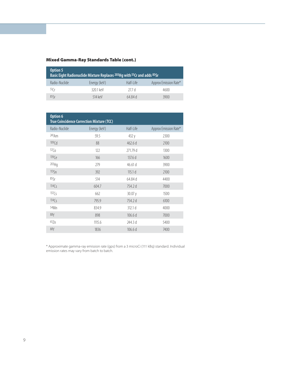## Mixed Gamma-Ray Standards Table (cont.)

| <b>Option 5</b> | Basic Eight Radionuclide Mixture Replaces 203Hg with 51Cr and adds 85Sr |           |                       |
|-----------------|-------------------------------------------------------------------------|-----------|-----------------------|
| Radio-Nuclide   | Energy (keV)                                                            | Half-Life | Approx Emission Rate* |
| 51Cr            | 3201 keV                                                                | 277d      | 4600                  |
| 85              | 514 keV                                                                 | 64 84 d   | 3900                  |

| Option 6          | <b>True Coincidence Correction Mixture (TCC)</b> |                    |                       |
|-------------------|--------------------------------------------------|--------------------|-----------------------|
| Radio-Nuclide     | Energy (keV)                                     | Half-Life          | Approx Emission Rate* |
| 241Am             | 59.5                                             | 432 y              | 2300                  |
| 109 <sub>rd</sub> | 88                                               | 462.6d             | 2100                  |
| 57 <sub>0</sub>   | 122                                              | 271.79 d           | 1300                  |
| 139(e)            | 166                                              | 137.6 d            | 1600                  |
| 203Hg             | 279                                              | 46.61 d            | 3900                  |
| 1135n             | 392                                              | 115.1 <sub>d</sub> | 2100                  |
| 85Sr              | 514                                              | 64.84 d            | 4400                  |
| 134C <sub>S</sub> | 604.7                                            | 754.2 d            | 7000                  |
| 137C <sub>S</sub> | 662                                              | 30.07 y            | 1500                  |
| 134C <sub>S</sub> | 795.9                                            | 754.2 d            | 6100                  |
| 54Mn              | 834.9                                            | 312.1 d            | 4000                  |
| 88Y               | 898                                              | 106.6d             | 7000                  |
| 657n              | 1115.6                                           | 244.3 d            | 5400                  |
| 88Y               | 1836                                             | 106.6d             | 7400                  |

\* Approximate gamma-ray emission rate (gps) from a 3 microCi (111 kBq) standard. Individual emission rates may vary from batch to batch.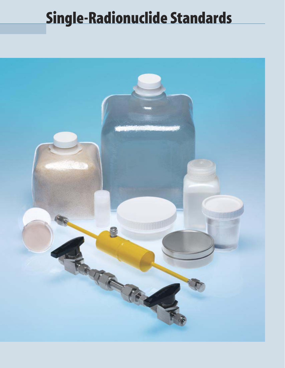## Single-Radionuclide Standards

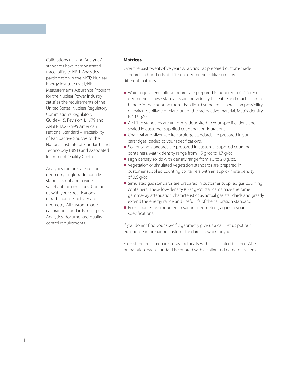Calibrations utilizing Analytics' standards have demonstrated traceability to NIST. Analytics participation in the NIST/ Nuclear Energy Institute (NIST/NEI) Measurements Assurance Program for the Nuclear Power Industry satisfies the requirements of the United States' Nuclear Regulatory Commission's Regulatory Guide 4.15, Revision 1, 1979 and ANSI N42.22-1995 American National Standard – Traceability of Radioactive Sources to the National Institute of Standards and Technology (NIST) and Associated Instrument Quality Control.

Analytics can prepare customgeometry single-radionuclide standards utilizing a wide variety of radionuclides. Contact us with your specifications of radionuclide, activity and geometry. All custom-made, calibration standards must pass Analytics' documented qualitycontrol requirements.

## **Matrices**

Over the past twenty-five years Analytics has prepared custom-made standards in hundreds of different geometries utilizing many different matrices.

- Water-equivalent solid standards are prepared in hundreds of different geometries. These standards are individually traceable and much safer to handle in the counting room than liquid standards. There is no possibility of leakage, spillage or plate-out of the radioactive material. Matrix density is 1.15 g/cc.
- Air Filter standards are uniformly deposited to your specifications and sealed in customer supplied counting configurations.
- Charcoal and silver zeolite cartridge standards are prepared in your cartridges loaded to your specifications.
- Soil or sand standards are prepared in customer supplied counting containers. Matrix density range from 1.5 g/cc to 1.7 g/cc.
- $\blacksquare$  High density solids with density range from 1.5 to 2.0 g/cc.
- Vegetation or simulated vegetation standards are prepared in customer supplied counting containers with an approximate density of 0.6 g/cc.
- n Simulated gas standards are prepared in customer supplied gas counting containers. These low-density (0.02 g/cc) standards have the same gamma-ray attenuation characteristics as actual gas standards and greatly extend the energy range and useful life of the calibration standard.
- Point sources are mounted in various geometries, again to your specifications.

If you do not find your specific geometry give us a call. Let us put our experience in preparing custom standards to work for you.

Each standard is prepared gravimetrically with a calibrated balance. After preparation, each standard is counted with a calibrated detector system.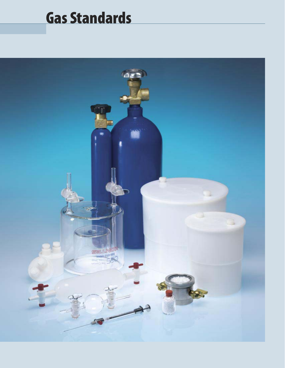## Gas Standards

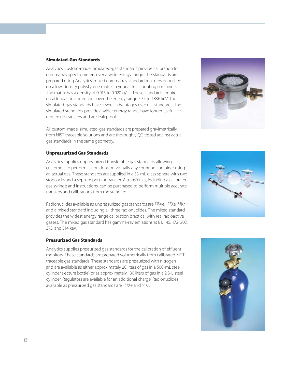### Simulated-Gas Standards

Analytics' custom-made, simulated-gas standards provide calibration for gamma-ray spectrometers over a wide energy range. The standards are prepared using Analytics' mixed gamma-ray standard mixtures deposited on a low-density polystyrene matrix in your actual counting containers. The matrix has a density of 0.015 to 0.020 g/cc. These standards require no attenuation corrections over the energy range 59.5 to 1836 keV. The simulated-gas standards have several advantages over gas standards. The simulated standards provide a wider energy range, have longer useful life, require no transfers and are leak proof.

All custom-made, simulated-gas standards are prepared gravimetrically from NIST traceable solutions and are thoroughly QC tested against actual gas standards in the same geometry.

## Unpressurized Gas Standards

Analytics supplies unpressurized transferable gas standards allowing customers to perform calibrations on virtually any counting container using an actual gas. These standards are supplied in a 33-mL glass sphere with two stopcocks and a septum port for transfer. A transfer kit, including a calibrated gas syringe and instructions, can be purchased to perform multiple accurate transfers and calibrations from the standard.

Radionuclides available as unpressurized gas standards are 133Xe, 127Xe, 85Kr, and a mixed standard including all three radionuclides. The mixed standard provides the widest energy range calibration practical with real radioactive gasses. The mixed gas standard has gamma-ray emissions at 81, 145, 172, 202, 375, and 514 keV.

## Pressurized Gas Standards

Analytics supplies pressurized gas standards for the calibration of effluent monitors. These standards are prepared volumetrically from calibrated NIST traceable gas standards. These standards are pressurized with nitrogen and are available as either approximately 20 liters of gas in a 500-mL steel cylinder (lecture bottle) or as approximately 130 liters of gas in a 2.3-L steel cylinder. Regulators are available for an additional charge. Radionuclides available as pressurized gas standards are 133Xe and 85Kr.





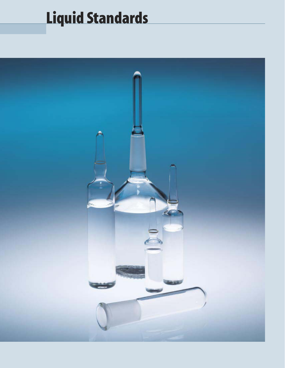# Liquid Standards

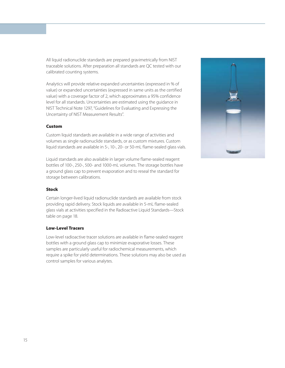All liquid radionuclide standards are prepared gravimetrically from NIST traceable solutions. After preparation all standards are QC tested with our calibrated counting systems.

Analytics will provide relative expanded uncertainties (expressed in % of value) or expanded uncertainties (expressed in same units as the certified value) with a coverage factor of 2, which approximates a 95% confidence level for all standards. Uncertainties are estimated using the guidance in NIST Technical Note 1297, "Guidelines for Evaluating and Expressing the Uncertainty of NIST Measurement Results".

## Custom

Custom liquid standards are available in a wide range of activities and volumes as single radionuclide standards, or as custom mixtures. Custom liquid standards are available in 5-, 10-, 20- or 50-mL flame-sealed glass vials.

Liquid standards are also available in larger volume flame-sealed reagent bottles of 100-, 250-, 500- and 1000-mL volumes. The storage bottles have a ground glass cap to prevent evaporation and to reseal the standard for storage between calibrations.

### Stock

Certain longer-lived liquid radionuclide standards are available from stock providing rapid delivery. Stock liquids are available in 5-mL flame-sealed glass vials at activities specified in the Radioactive Liquid Standards—Stock table on page 18.

### Low-Level Tracers

Low-level radioactive tracer solutions are available in flame-sealed reagent bottles with a ground glass cap to minimize evaporative losses. These samples are particularly useful for radiochemical measurements, which require a spike for yield determinations. These solutions may also be used as control samples for various analytes.

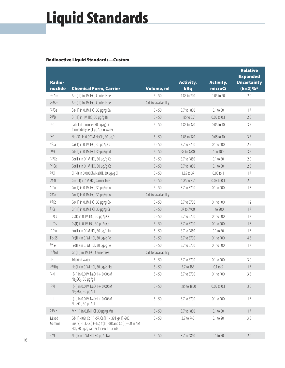# Liquid Standards

## Radioactive Liquid Standards—Custom

| <b>Radio-</b><br>nuclide | <b>Chemical Form, Carrier</b>                                                                                                                   | Volume, ml            | <b>Activity,</b><br>kBq | <b>Activity,</b><br>microCi | <b>Relative</b><br><b>Expanded</b><br><b>Uncertainty</b><br>(k=2)%* |
|--------------------------|-------------------------------------------------------------------------------------------------------------------------------------------------|-----------------------|-------------------------|-----------------------------|---------------------------------------------------------------------|
| 241Am                    | Am (III) in 1M HCl, Carrier Free                                                                                                                | $5 - 50$              | 1.85 to 740             | 0.05 to 20                  | 2.0                                                                 |
| 243 Am                   | Am (III) in 1M HCl, Carrier Free                                                                                                                | Call for availability |                         |                             |                                                                     |
| 133Ba                    | Ba(II) in 0.1M HCl, 30 µg/g Ba                                                                                                                  | $5 - 50$              | 3.7 to 1850             | 0.1 to 50                   | 1.7                                                                 |
| 207Bi                    | Bi(III) in 1M HCl, 30 µg/g Bi                                                                                                                   | $5 - 50$              | 1.85 to 3.7             | $0.05$ to $0.1$             | $2.0\,$                                                             |
| 14 <sub>C</sub>          | Labeled glucose (50 $\mu$ g/g) +<br>formaldehyde (1 µg/g) in water                                                                              | $5 - 50$              | 1.85 to 370             | 0.05 to 10                  | 3.5                                                                 |
| 14C                      | Na <sub>2</sub> CO <sub>3</sub> in 0.001M NaOH, 30 µg/g                                                                                         | $5 - 50$              | 1.85 to 370             | 0.05 to 10                  | 3.5                                                                 |
| 45Ca                     | Ca(II) in 0.1M HCl, 30 µg/g Ca                                                                                                                  | $5 - 50$              | 3.7 to 3700             | 0.1 to 100                  | 2.5                                                                 |
| 109 <sub>cd</sub>        | Cd(II) in 0.1M HCl, 30 µg/g Cd                                                                                                                  | $5 - 50$              | 37 to 3700              | 1 to 100                    | 3.5                                                                 |
| 139(e)                   | Ce (III) in 0.1M HCl, 30 µg/g Ce                                                                                                                | $5 - 50$              | 3.7 to 1850             | 0.1 to 50                   | 2.0                                                                 |
| 141(e                    | Ce(III) in 0.1M HCl, 30 µg/g Ce                                                                                                                 | $5 - 50$              | 3.7 to 1850             | 0.1 to 50                   | 2.5                                                                 |
| $36$ (                   | CI(-I) in 0.0005M NaOH, 30 µg/g CI                                                                                                              | $5 - 50$              | 1.85 to 37              | $0.05$ to 1                 | 1.7                                                                 |
| 244Cm                    | Cm(III) in 1M HCl, Carrier free                                                                                                                 | $5 - 50$              | 1.85 to 3.7             | 0.05 to 0.1                 | 2.0                                                                 |
| 57C <sub>0</sub>         | Co(II) in 0.1M HCl, 30 µg/g Co                                                                                                                  | $5 - 50$              | 3.7 to 3700             | 0.1 to 100                  | 1.7                                                                 |
| 58C <sub>0</sub>         | Co(II) in 0.1M HCl, 30 µg/g Co                                                                                                                  | Call for availability |                         |                             |                                                                     |
| 60 <sub>0</sub>          | Co(II) in 0.1M HCl, 30 µg/g Co                                                                                                                  | $5 - 50$              | 3.7 to 3700             | 0.1 to 100                  | 1.2                                                                 |
| 51Cr                     | Cr(III) in 0.1M HCl, 30 µg/g Cr                                                                                                                 | $5 - 50$              | 37 to 7400              | 1 to 200                    | 1.7                                                                 |
| 134C <sub>S</sub>        | Cs(I) in 0.1M HCl, 30 µg/g Cs                                                                                                                   | $5 - 50$              | 3.7 to 3700             | 0.1 to 100                  | 1.7                                                                 |
| 137C <sub>S</sub>        | Cs(I) in 0.1M HCl, 30 µg/g Cs                                                                                                                   | $5 - 50$              | 3.7 to 3700             | 0.1 to 100                  | 1.7                                                                 |
| 152 <sub>Eu</sub>        | Eu(III) in 0.1M HCl, 30 µg/g Eu                                                                                                                 | $5 - 50$              | 3.7 to 1850             | 0.1 to 50                   | 1.7                                                                 |
| Fe-55                    | Fe(III) in 0.1M HCl, 30 µg/g Fe                                                                                                                 | $5 - 50$              | 3.7 to 3700             | 0.1 to 100                  | 4.5                                                                 |
| 59Fe                     | Fe(III) in 0.1M HCl, 30 µg/g Fe                                                                                                                 | $5 - 50$              | 3.7 to 3700             | 0.1 to 100                  | 1.7                                                                 |
| $148$ Gd                 | Gd(III) in 1M HCl, Carrier free                                                                                                                 | Call for availability |                         |                             |                                                                     |
| 3H                       | Tritiated water                                                                                                                                 | $5 - 50$              | 3.7 to 3700             | 0.1 to 100                  | 3.0                                                                 |
| 203Hg                    | Hg(II) in 0.1M HCl, 30 µg/g Hg                                                                                                                  | $5 - 50$              | 3.7 to 185              | $0.1$ to 5                  | 1.7                                                                 |
| 125                      | $ (-1)$ in 0.01M NaOH + 0.006M<br>Na <sub>2</sub> SO <sub>3</sub> , 30 µg/g l                                                                   | $5 - 50$              | 3.7 to 3700             | 0.1 to 100                  | 3.5                                                                 |
| 129                      | $ (-1)$ in 0.01M NaOH + 0.006M<br>Na <sub>2</sub> SO <sub>3</sub> , 30 µg/g l                                                                   | $5 - 50$              | 1.85 to 1850            | 0.05 to 0.1                 | 3.0                                                                 |
| 131                      | $ (-1)$ in 0.01M NaOH $+$ 0.006M<br>Na <sub>2</sub> SO <sub>3</sub> , 30 µg/g l                                                                 | $5 - 50$              | 3.7 to 3700             | 0.1 to 100                  | 1.7                                                                 |
| 54Mn                     | Mn(II) in 0.1M HCl, 30 µg/g Mn                                                                                                                  | $5 - 50$              | 3.7 to 1850             | $0.1$ to $50$               | 1.7                                                                 |
| Mixed<br>Gamma           | Cd(II)-109, Co(II)-57, Ce(III)-139 Hg(II)-203,<br>Sn(IV)-113, Cs(I)-137, Y(III)-88 and Co(II)-60 in 4M<br>HCl, 30 µg/g carrier for each nuclide | $5 - 50$              | 3.7 to 740              | 0.1 to 20                   | 3.3                                                                 |
| 22Na                     | Na(I) in 0.1M HCl 30 µg/g Na                                                                                                                    | $5 - 50$              | 3.7 to 1850             | $0.1$ to $50\,$             | $2.0\,$                                                             |
|                          |                                                                                                                                                 |                       |                         |                             |                                                                     |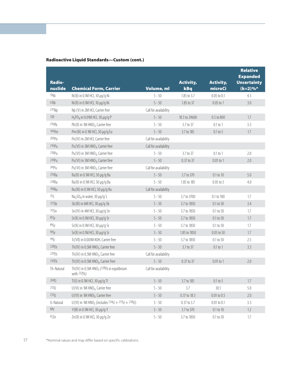| <b>Radio-</b><br>nuclide | <b>Chemical Form, Carrier</b>                                        | Volume, ml            | <b>Activity,</b><br>kBq | <b>Activity,</b><br>microCi | <b>Relative</b><br><b>Expanded</b><br><b>Uncertainty</b><br>$(k=2)\%$ |
|--------------------------|----------------------------------------------------------------------|-----------------------|-------------------------|-----------------------------|-----------------------------------------------------------------------|
| 59Ni                     | Ni(II) in 0.1M HCl, 30 µg/g Ni                                       | $5 - 50$              | 1.85 to 3.7             | $0.05$ to $0.1$             | 4.5                                                                   |
| 63Ni                     | Ni(II) in 0.1M HCl, 10 µg/g Ni                                       | $5 - 50$              | 1.85 to 37              | $0.05$ to 1                 | 3.0                                                                   |
| 237Np                    | Np (V) in 2M HCI, Carrier free                                       | Call for availability |                         |                             |                                                                       |
| 32P                      | $H_3$ PO <sub>4</sub> in 0.01M HCl, 30 μg/g P                        | $5 - 50$              | 18.5 to 29600           | 0.5 to 800                  | 1.7                                                                   |
| 210Pb                    | Pb(II) in 1M HNO <sub>3</sub> , Carrier free                         | $5 - 50$              | 3.7 to 37               | $0.1$ to $1$                | 3.3                                                                   |
| 147Pm                    | Pm (III) in 0.1M HCl, 30 µg/g Eu                                     | $5 - 50$              | 3.7 to 185              | $0.1$ to 5                  | 1.7                                                                   |
| 209Po                    | Po(IV) in 2M HCl, Carrier free                                       | Call for availability |                         |                             |                                                                       |
| 236P <sub>U</sub>        | Pu(VI) in 3M HNO <sub>3</sub> , Carrier free                         | Call for availability |                         |                             |                                                                       |
| 238P <sub>U</sub>        | Pu(VI) in 3M HNO <sub>3</sub> , Carrier free                         | $5 - 50$              | 3.7 to 37               | $0.1$ to $1$                | 2.0                                                                   |
| 239Pu                    | Pu(VI) in 3M HNO <sub>3</sub> , Carrier free                         | $5 - 50$              | 0.37 to 37              | $0.01$ to 1                 | 2.0                                                                   |
| 241P <sub>U</sub>        | Pu(VI) in 3M HNO <sub>3</sub> , Carrier free                         | Call for availability |                         |                             |                                                                       |
| 226Ra                    | Ra(II) in 0.1M HCl, 50 µg/g Ba                                       | $5 - 50$              | 3.7 to 370              | 0.1 to 10                   | $5.0\,$                                                               |
| 228Ra                    | Ra(II) in 0.1M HCl, 50 µg/g Ba                                       | $5 - 50$              | 1.85 to 185             | $0.05$ to 5                 | 4.0                                                                   |
| 106Ru                    | Ru(III) in 0.1M HCl, 50 µg/g Ru                                      | Call for availability |                         |                             |                                                                       |
| 35 <sub>S</sub>          | Na <sub>2</sub> SO <sub>4</sub> in water, 30 µg/g S                  | $5 - 50$              | 3.7 to 3700             | 0.1 to 100                  | 1.7                                                                   |
| 125Sb                    | Sb(III) in 6M HCl, 30 µg/g Sb                                        | $5 - 50$              | 3.7 to 1850             | 0.1 to 50                   | 3.4                                                                   |
| 1135n                    | Sn(IV) in 4M HCl, 30 µg/g Sn                                         | $5 - 50$              | 3.7 to 1850             | 0.1 to 50                   | 1.7                                                                   |
| 85Sr                     | Sr(II) in 0.1M HCl, 30 µg/g Sr                                       | $5 - 50$              | 3.7 to 1850             | $0.1$ to $50$               | $1.7\,$                                                               |
| 89Sr                     | Sr(II) in 0.1M HCl, 30 µg/g Sr                                       | $5 - 50$              | 3.7 to 1850             | $0.1$ to $50$               | 1.7                                                                   |
| 90Sr                     | Sr(II) in 0.1M HCl, 30 µg/g Sr                                       | $5 - 50$              | 1.85 to 1850            | 0.05 to 50                  | 1.7                                                                   |
| 99T <sub>C</sub>         | Tc(VII) in 0.001M KOH, Carrier free                                  | $5 - 50$              | 3.7 to 1850             | 0.1 to 50                   | 2.5                                                                   |
| 228Th                    | Th(IV) in 0.5M HNO <sub>3</sub> , Carrier free                       | $5 - 50$              | 3.7 to 37               | $0.1$ to $1$                | 3.5                                                                   |
| 229Th                    | Th(IV) in 0.5M HNO <sub>3</sub> , Carrier free                       | Call for availability |                         |                             |                                                                       |
| 230Th                    | Th(IV) in 0.5M HNO <sub>3</sub> , Carrier Free                       | $5 - 50$              | 0.37 to 37              | $0.01$ to 1                 | $2.0\,$                                                               |
| Th-Natural               | Th(IV) in 0.5M HNO <sub>3</sub> (228Th in equilibrium<br>with 232Th) | Call for availability |                         |                             |                                                                       |
| 204T                     | Tl(l) in 0.1M HCl, 30 µg/g Tl                                        | $5 - 50$              | 3.7 to 185              | $0.1$ to 5                  | $1.7\,$                                                               |
| 232U                     | U(VI) in 1M HNO <sub>3</sub> , Carrier free                          | $5 - 50$              | 3.7                     | 30.1                        | 5.0                                                                   |
| 233U                     | U(VI) in 1M HNO <sub>3</sub> , Carrier free                          | $5 - 50$              | 0.37 to 18.5            | $0.01$ to $0.5$             | $2.0$                                                                 |
| U-Natural                | U(VI) in 1M HNO <sub>3</sub> (includes $234U + 235U + 238U$ )        | $5 - 50$              | 0.37 to 3.7             | $0.01$ to $0.1$             | 3.3                                                                   |
| 88Y                      | Y(III) in 0.1M HCl, 30 µg/g Y                                        | $5 - 50$              | 3.7 to 370              | $0.1$ to $10\,$             | 1.2                                                                   |
| 65Zn                     | Zn(II) in 0.1M HCl, 30 µg/g Zn                                       | $5 - 50$              | 3.7 to 1850             | $0.1$ to $50$               | 1.7                                                                   |

## Radioactive Liquid Standards—Custom (cont.)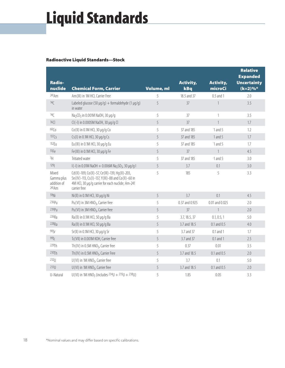# Liquid Standards

## Radioactive Liquid Standards—Stock

| Radio-                                      |                                                                                                                                                                          |            | <b>Activity,</b> | <b>Activity,</b> | <b>Relative</b><br><b>Expanded</b><br><b>Uncertainty</b> |
|---------------------------------------------|--------------------------------------------------------------------------------------------------------------------------------------------------------------------------|------------|------------------|------------------|----------------------------------------------------------|
| nuclide                                     | <b>Chemical Form, Carrier</b>                                                                                                                                            | Volume, ml | kBq              | microCi          | $(k=2)\%$                                                |
| 241Am                                       | Am (III) in 1M HCl, Carrier Free                                                                                                                                         | 5          | 18.5 and 37      | 0.5 and 1        | 2.0                                                      |
| 14C                                         | Labeled glucose (50 µg/g) + formaldehyde (1 µg/g)<br>in water                                                                                                            | 5          | 37               | 1                | 3.5                                                      |
| 14 <sup>C</sup>                             | Na <sub>2</sub> CO <sub>3</sub> in 0.001M NaOH, 30 µg/g                                                                                                                  | 5          | 37               | 1                | 3.5                                                      |
| $36$ C                                      | Cl(-l) in 0.0005M NaOH, 30 µg/g Cl                                                                                                                                       | 5          | 37               | $\mathbf{1}$     | 1.7                                                      |
| 60 <sub>0</sub>                             | Co(II) in 0.1M HCl, 30 µg/g Co                                                                                                                                           | 5          | 37 and 185       | 1 and 5          | 1.2                                                      |
| 137C <sub>S</sub>                           | Cs(I) in 0.1M HCl, 30 µg/g Cs                                                                                                                                            | 5          | 37 and 185       | 1 and 5          | 1.7                                                      |
| 152 <sub>Eu</sub>                           | Eu(III) in 0.1M HCl, 30 µg/g Eu                                                                                                                                          | 5          | 37 and 185       | 1 and 5          | 1.7                                                      |
| 55Fe                                        | Fe(III) in 0.1M HCl, 30 µg/g Fe                                                                                                                                          | 5          | 37               | $\mathbf{1}$     | 4.5                                                      |
| 3H                                          | Tritiated water                                                                                                                                                          | 5          | 37 and 185       | 1 and 5          | 3.0                                                      |
| 129                                         | I(-I) in 0.01M NaOH + 0.006M Na <sub>2</sub> SO <sub>3</sub> , 30 µg/g I                                                                                                 | 5          | 3.7              | 0.1              | 3.0                                                      |
| Mixed<br>Gamma plus<br>addition of<br>241Am | Cd(II)-109, Co(II)-57, Ce(III)-139, Hq(II)-203,<br>Sn(IV)-113, Cs(I)-137, Y(III)-88 and Co(II)-60 in<br>4M HCl, 30 µq/q carrier for each nuclide; Am-241<br>carrier free | 5          | 185              | 5                | 3.3                                                      |
| 59Ni                                        | Ni(II) in 0.1M HCl, 30 µg/g Ni                                                                                                                                           | 5          | 3.7              | 0.1              | 4.5                                                      |
| 236P <sub>U</sub>                           | Pu(VI) in 3M HNO <sub>3</sub> , Carrier free                                                                                                                             | 5          | 0.37 and 0.925   | 0.01 and 0.025   | 2.0                                                      |
| 239P <sub>U</sub>                           | Pu(VI) in 3M HNO <sub>3</sub> , Carrier free                                                                                                                             | 5          | 37               | $\mathbf{1}$     | 2.0                                                      |
| 226Ra                                       | Ra(II) in 0.1M HCl, 50 µg/g Ba                                                                                                                                           | 5          | 3.7, 18.5, 37    | 0.1, 0.5, 1      | 5.0                                                      |
| 228Ra                                       | Ra(II) in 0.1M HCl, 50 µg/g Ba                                                                                                                                           | 5          | 3.7 and 18.5     | 0.1 and 0.5      | 4.0                                                      |
| 90Sr                                        | Sr(II) in 0.1M HCl, 30 µg/g Sr                                                                                                                                           | 5          | 3.7 and 37       | 0.1 and 1        | 1.7                                                      |
| 99T <sub>C</sub>                            | Tc(VII) in 0.001M KOH, Carrier free                                                                                                                                      | 5          | 3.7 and 37       | 0.1 and 1        | 2.5                                                      |
| 229Th                                       | Th(IV) in 0.5M HNO <sub>3</sub> , Carrier free                                                                                                                           | 5          | 0.37             | 0.01             | 3.5                                                      |
| 230Th                                       | Th(IV) in 0.5M HNO <sub>3</sub> , Carrier Free                                                                                                                           | 5          | 3.7 and 18.5     | 0.1 and 0.5      | 2.0                                                      |
| 232                                         | U(VI) in 1M HNO <sub>3</sub> , Carrier free                                                                                                                              | 5          | 3.7              | 0.1              | 5.0                                                      |
| 233U                                        | U(VI) in 1M HNO <sub>3</sub> , Carrier free                                                                                                                              | 5          | 3.7 and 18.5     | 0.1 and 0.5      | 2.0                                                      |
| U-Natural                                   | U(VI) in 1M HNO <sub>3</sub> (includes $^{234}U + ^{235}U + ^{238}U$ )                                                                                                   | 5          | 1.85             | 0.05             | 3.3                                                      |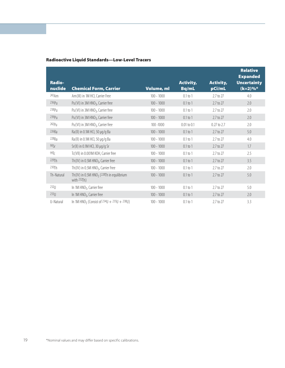| <b>Radio-</b><br>nuclide | <b>Chemical Form, Carrier</b>                                                  | Volume, ml   | <b>Activity,</b><br>Bq/mL | <b>Activity,</b><br>pCi/mL | <b>Relative</b><br><b>Expanded</b><br><b>Uncertainty</b><br>$(k=2)\%*$ |
|--------------------------|--------------------------------------------------------------------------------|--------------|---------------------------|----------------------------|------------------------------------------------------------------------|
| 243 Am                   | Am (III) in 1M HCl, Carrier Free                                               | $100 - 1000$ | $0.1$ to $1$              | 2.7 to 27                  | 4.0                                                                    |
| 236P <sub>U</sub>        | Pu(VI) in 3M HNO <sub>3</sub> , Carrier free                                   | $100 - 1000$ | $0.1$ to 1                | 2.7 to 27                  | 2.0                                                                    |
| 238P <sub>U</sub>        | Pu(VI) in 3M HNO <sub>3</sub> , Carrier free                                   | $100 - 1000$ | $0.1$ to 1                | 2.7 to 27                  | 2.0                                                                    |
| 239P <sub>U</sub>        | Pu(VI) in 3M HNO <sub>3</sub> , Carrier free                                   | $100 - 1000$ | $0.1$ to 1                | 2.7 to 27                  | 2.0                                                                    |
| 242P <sub>U</sub>        | Pu(VI) in 3M HNO <sub>3</sub> , Carrier free                                   | $100 - 1000$ | $0.01$ to $0.1$           | 0.27 to 2.7                | 2.0                                                                    |
| 226Ra                    | Ra(II) in 0.1M HCl, 50 µg/g Ba                                                 | $100 - 1000$ | $0.1$ to 1                | 2.7 to 27                  | 5.0                                                                    |
| 228Ra                    | Ra(II) in 0.1M HCl, 50 µg/g Ba                                                 | $100 - 1000$ | $0.1$ to 1                | 2.7 to 27                  | 4.0                                                                    |
| 90Sr                     | Sr(II) in 0.1M HCl, 30 µg/g Sr                                                 | $100 - 1000$ | $0.1$ to 1                | 2.7 to 27                  | 1.7                                                                    |
| 99T <sub>C</sub>         | Tc(VII) in 0.001M KOH, Carrier free                                            | $100 - 1000$ | $0.1$ to 1                | 2.7 to 27                  | 2.5                                                                    |
| 229Th                    | Th(IV) in 0.5M HNO <sub>3</sub> , Carrier free                                 | $100 - 1000$ | $0.1$ to 1                | 2.7 to 27                  | 3.5                                                                    |
| 230Th                    | Th(IV) in 0.5M HNO <sub>3</sub> , Carrier Free                                 | $100 - 1000$ | $0.1$ to 1                | 2.7 to 27                  | 2.0                                                                    |
| Th-Natural               | Th(IV) in 0.5M HNO <sub>3</sub> ( $^{228}$ Th in equilibrium<br>with $232Th$ ) | $100 - 1000$ | $0.1 \text{ to } 1$       | 2.7 to 27                  | 5.0                                                                    |
| $232$ []                 | In 1M HNO <sub>3</sub> , Carrier free                                          | $100 - 1000$ | $0.1$ to 1                | 2.7 to 27                  | 5.0                                                                    |
| 23311                    | In 1M HNO <sub>3</sub> , Carrier free                                          | $100 - 1000$ | $0.1$ to 1                | 2.7 to 27                  | 2.0                                                                    |
| U-Natural                | In 1M HNO <sub>3</sub> (Consist of $234U + 235U + 238U$ )                      | $100 - 1000$ | $0.1$ to 1                | 2.7 to 27                  | 3.3                                                                    |

## Radioactive Liquid Standards—Low-Level Tracers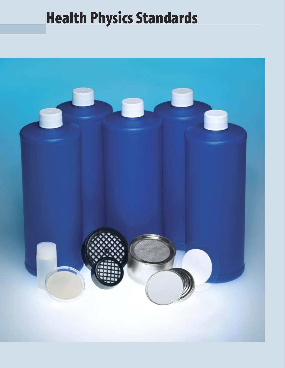# Health Physics Standards

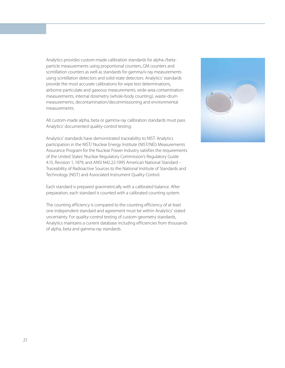Analytics provides custom-made calibration standards for alpha-/betaparticle measurements using proportional counters, GM counters and scintillation counters as well as standards for gamma/x-ray measurements using scintillation detectors and solid-state detectors. Analytics' standards provide the most accurate calibrations for wipe test determinations, airborne particulate and gaseous measurements, wide-area contamination measurements, internal dosimetry (whole-body counting), waste-drum measurements, decontamination/decommissioning and environmental measurements.

All custom-made alpha, beta or gamma-ray calibration standards must pass Analytics' documented quality-control testing:

Analytics' standards have demonstrated traceability to NIST. Analytics participation in the NIST/ Nuclear Energy Institute (NIST/NEI) Measurements Assurance Program for the Nuclear Power Industry satisfies the requirements of the United States' Nuclear Regulatory Commission's Regulatory Guide 4.15, Revision 1, 1979, and ANSI N42.22-1995 American National Standard – Traceability of Radioactive Sources to the National Institute of Standards and Technology (NIST) and Associated Instrument Quality Control.

Each standard is prepared gravimetrically with a calibrated balance. After preparation, each standard is counted with a calibrated counting system.

The counting efficiency is compared to the counting efficiency of at least one independent standard and agreement must be within Analytics' stated uncertainty. For quality-control testing of custom-geometry standards, Analytics maintains a current database including efficiencies from thousands of alpha, beta and gamma-ray standards.

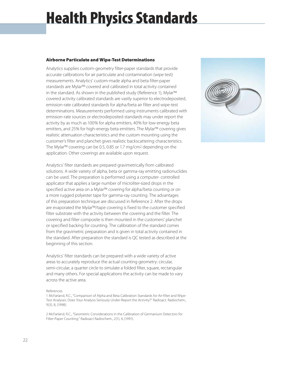# Health Physics Standards

### Airborne Particulate and Wipe-Test Determinations

Analytics supplies custom-geometry filter-paper standards that provide accurate calibrations for air particulate and contamination (wipe test) measurements. Analytics' custom-made alpha and beta filter-paper standards are Mylar™ covered and calibrated in total activity contained in the standard. As shown in the published study (Reference 1), Mylar™ covered activity calibrated standards are vastly superior to electrodeposited, emission-rate calibrated standards for alpha/beta air filter and wipe-test determinations. Measurements performed using instruments calibrated with emission-rate sources or electrodeposited standards may under report the activity by as much as 100% for alpha emitters, 40% for low-energy beta emitters, and 25% for high-energy beta emitters. The Mylar™ covering gives realistic attenuation characteristics and the custom mounting using the customer's filter and planchet gives realistic backscattering characteristics. The Mylar™ covering can be 0.5, 0.85 or 1.7 mg/cm2 depending on the application. Other coverings are available upon request.

Analytics' filter standards are prepared gravimetrically from calibrated solutions. A wide variety of alpha, beta or gamma-ray emitting radionuclides can be used. The preparation is performed using a computer- controlled applicator that applies a large number of microliter-sized drops in the specified active area on a Mylar™ covering for alpha/beta counting or on a more rugged polyester tape for gamma-ray counting. The advantages of this preparation technique are discussed in Reference 2. After the drops are evaporated the Mylar™/tape covering is fixed to the customer specified filter substrate with the activity between the covering and the filter. The covering and filter composite is then mounted in the customers' planchet or specified backing for counting. The calibration of the standard comes from the gravimetric preparation and is given in total activity contained in the standard. After preparation the standard is QC tested as described at the beginning of this section.

Analytics' filter standards can be prepared with a wide variety of active areas to accurately reproduce the actual counting geometry: circular, semi-circular, a quarter circle to simulate a folded filter, square, rectangular and many others. For special applications the activity can be made to vary across the active area.

#### References

1 McFarland, R.C., "Comparison of Alpha and Beta Calibration Standards for Air-filter and Wipe-Test Analyses: Does Your Analysis Seriously Under-Report the Activity?" Radioact. Radiochem., 9(3), 8, (1998).

2 McFarland, R.C., "Geometric Considerations in the Calibration of Germanium Detectors for Filter-Paper Counting." Radioact Radiochem., 2(1), 4, (1991).

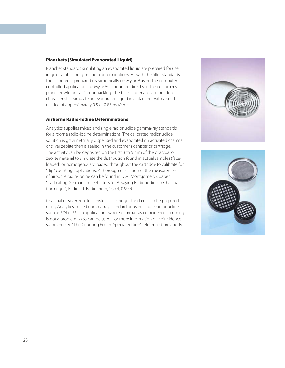## Planchets (Simulated Evaporated Liquid)

Planchet standards simulating an evaporated liquid are prepared for use in gross alpha and gross beta determinations. As with the filter standards, the standard is prepared gravimetrically on Mylar™ using the computer controlled applicator. The Mylar™ is mounted directly in the customer's planchet without a filter or backing. The backscatter and attenuation characteristics simulate an evaporated liquid in a planchet with a solid residue of approximately 0.5 or 0.85 mg/cm2.

### Airborne Radio-Iodine Determinations

Analytics supplies mixed and single radionuclide gamma-ray standards for airborne radio-iodine determinations. The calibrated radionuclide solution is gravimetrically dispensed and evaporated on activated charcoal or silver zeolite then is sealed in the customer's canister or cartridge. The activity can be deposited on the first 3 to 5 mm of the charcoal or zeolite material to simulate the distribution found in actual samples (faceloaded) or homogenously loaded throughout the cartridge to calibrate for "flip" counting applications. A thorough discussion of the measurement of airborne radio-iodine can be found in D.M. Montgomery's paper, "Calibrating Germanium Detectors for Assaying Radio-iodine in Charcoal Cartridges", Radioact. Radiochem, 1(2),4, (1990).

Charcoal or silver zeolite canister or cartridge standards can be prepared using Analytics' mixed gamma-ray standard or using single radionuclides such as 125I or 131I. In applications where gamma-ray coincidence summing is not a problem 133Ba can be used. For more information on coincidence summing see "The Counting Room: Special Edition" referenced previously.



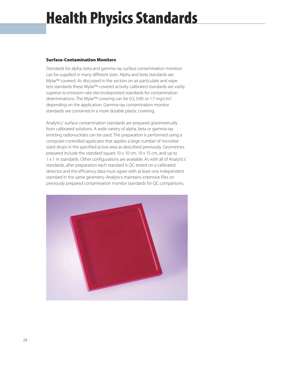# Health Physics Standards

## Surface-Contamination Monitors

Standards for alpha, beta and gamma-ray surface contamination monitors can be supplied in many different sizes. Alpha and beta standards are Mylar™ covered. As discussed in the section on air particulate and wipe test standards these Mylar™-covered activity calibrated standards are vastly superior to emission-rate electrodeposited standards for contamination determinations. The Mylar™ covering can be 0.5, 0.85 or 1.7 mg/cm2 depending on the application. Gamma-ray contamination monitor standards are contained in a more durable plastic covering.

Analytics' surface contamination standards are prepared gravimetrically from calibrated solutions. A wide variety of alpha, beta or gamma-ray emitting radionuclides can be used. The preparation is performed using a computer-controlled applicator that applies a large number of microliter sized drops in the specified active area as described previously. Geometries prepared include the standard square 10 x 10 cm, 10 x 15 cm, and up to 1 x 1 m standards. Other configurations are available. As with all of Analytics' standards, after preparation each standard is QC tested on a calibrated detector and the efficiency data must agree with at least one independent standard in the same geometry. Analytics maintains extensive files on previously prepared contamination monitor standards for QC comparisons.

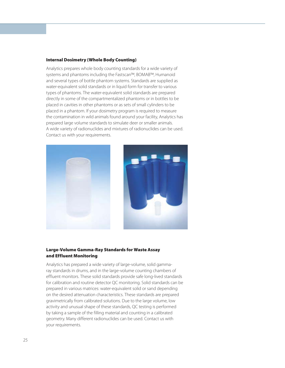#### Internal Dosimetry (Whole Body Counting)

Analytics prepares whole body counting standards for a wide variety of systems and phantoms including the Fastscan™, BOMAB™, Humanoid and several types of bottle phantom systems. Standards are supplied as water-equivalent solid standards or in liquid form for transfer to various types of phantoms. The water-equivalent solid standards are prepared directly in some of the compartmentalized phantoms or in bottles to be placed in cavities in other phantoms or as sets of small cylinders to be placed in a phantom. If your dosimetry program is required to measure the contamination in wild animals found around your facility, Analytics has prepared large volume standards to simulate deer or smaller animals. A wide variety of radionuclides and mixtures of radionuclides can be used. Contact us with your requirements.





#### Large-Volume Gamma-Ray Standards for Waste Assay and Effluent Monitoring

Analytics has prepared a wide variety of large-volume, solid gammaray standards in drums, and in the large-volume counting chambers of effluent monitors. These solid standards provide safe long-lived standards for calibration and routine detector QC monitoring. Solid standards can be prepared in various matrices: water-equivalent solid or sand depending on the desired attenuation characteristics. These standards are prepared gravimetrically from calibrated solutions. Due to the large volume, low activity and unusual shape of these standards, QC testing is performed by taking a sample of the filling material and counting in a calibrated geometry. Many different radionuclides can be used. Contact us with your requirements.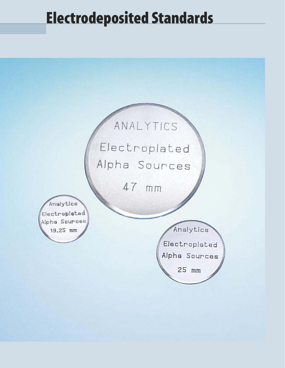## Electrodeposited Standards

## ANALYTICS

Electroplated Alpha Sources

47 mm

Analytics Electroplated Alpha Sources 19.25 mm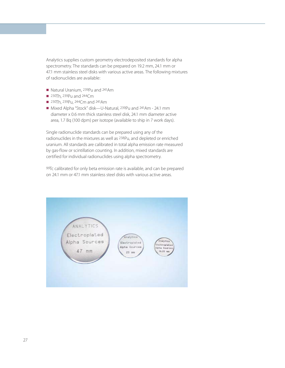Analytics supplies custom geometry electrodeposited standards for alpha spectrometry. The standards can be prepared on 19.2 mm, 24.1 mm or 47.1 mm stainless steel disks with various active areas. The following mixtures of radionuclides are available:

- Natural Uranium, 239Pu and 241Am
- $\blacksquare$  230Th, 239Pu and 244Cm
- 230Th, 239Pu, 244Cm and 241Am
- Mixed Alpha "Stock" disk—U-Natural, 239Pu and 241Am 24.1 mm diameter x 0.6 mm thick stainless steel disk, 24.1 mm diameter active area, 1.7 Bq (100 dpm) per isotope (available to ship in 7 work days).

Single radionuclide standards can be prepared using any of the radionuclides in the mixtures as well as 238Pu, and depleted or enriched uranium. All standards are calibrated in total alpha emission rate measured by gas-flow or scintillation counting. In addition, mixed standards are certified for individual radionuclides using alpha spectrometry.

99Tc calibrated for only beta emission rate is available, and can be prepared on 24.1 mm or 47.1 mm stainless steel disks with various active areas.

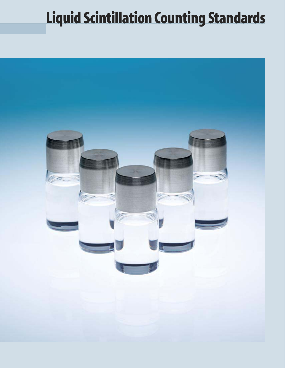# Liquid Scintillation Counting Standards

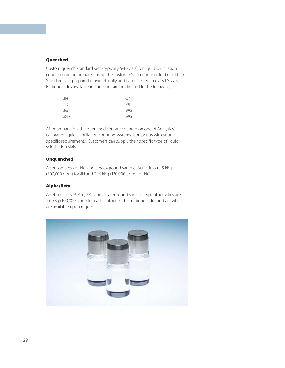### Quenched

Custom quench standard sets (typically 5-10 vials) for liquid scintillation counting can be prepared using the customer's LS counting fluid (cocktail). Standards are prepared gravimetrically and flame sealed in glass LS vials. Radionuclides available include, but are not limited to the following:

| 3H          | 63Ni             |
|-------------|------------------|
| 14C         | 99T <sub>C</sub> |
| $36$ $\cap$ | 89Sr             |
| 55Fe        | 90Sr             |

After preparation, the quenched sets are counted on one of Analytics' calibrated liquid scintillation counting systems. Contact us with your specific requirements. Customers can supply their specific type of liquid scintillation vials.

#### Unquenched

A set contains 3H, 14C, and a background sample. Activities are 5 kBq (300,000 dpm) for 3H and 2.16 kBq (130,000 dpm) for 14C.

#### Alpha/Beta

A set contains 241Am, 36Cl and a background sample. Typical activities are 1.6 kBq (100,000 dpm) for each isotope. Other radionuclides and activities are available upon request.

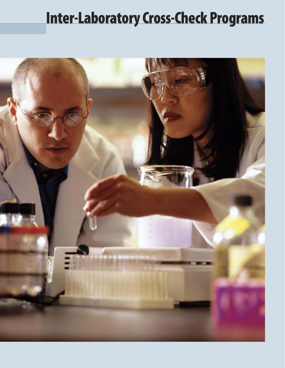## Inter-Laboratory Cross-Check Programs

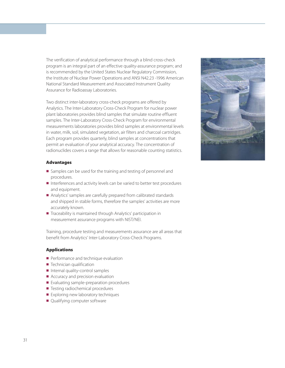The verification of analytical performance through a blind cross-check program is an integral part of an effective quality-assurance program; and is recommended by the United States Nuclear Regulatory Commission, the Institute of Nuclear Power Operations and ANSI N42.23 -1996 American National Standard Measurement and Associated Instrument Quality Assurance for Radioassay Laboratories.

Two distinct inter-laboratory cross-check programs are offered by Analytics. The Inter-Laboratory Cross-Check Program for nuclear power plant laboratories provides blind samples that simulate routine effluent samples. The Inter-Laboratory Cross-Check Program for environmental measurements laboratories provides blind samples at environmental levels in water, milk, soil, simulated vegetation, air filters and charcoal cartridges. Each program provides quarterly, blind samples at concentrations that permit an evaluation of your analytical accuracy. The concentration of radionuclides covers a range that allows for reasonable counting statistics.

## Advantages

- Samples can be used for the training and testing of personnel and procedures.
- nterferences and activity levels can be varied to better test procedures and equipment.
- Analytics' samples are carefully prepared from calibrated standards and shipped in stable forms, therefore the samples' activities are more accurately known.
- Traceability is maintained through Analytics' participation in measurement assurance programs with NIST/NEI.

Training, procedure testing and measurements assurance are all areas that benefit from Analytics' Inter-Laboratory Cross-Check Programs.

### Applications

- Performance and technique evaluation
- $\blacksquare$  Technician qualification
- $\blacksquare$  Internal quality-control samples
- $\blacksquare$  Accuracy and precision evaluation
- Evaluating sample-preparation procedures
- Testing radiochemical procedures
- Exploring new laboratory techniques
- Qualifying computer software

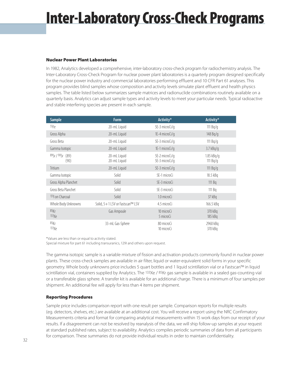## Inter-Laboratory Cross-Check Programs

## Nuclear Power Plant Laboratories

In 1982, Analytics developed a comprehensive, inter-laboratory cross-check program for radiochemistry analysis. The Inter-Laboratory Cross-Check Program for nuclear power plant laboratories is a quarterly program designed specifically for the nuclear power industry and commercial laboratories performing effluent and 10 CFR Part 61 analyses. This program provides blind samples whose composition and activity levels simulate plant effluent and health physics samples. The table listed below summarizes sample matrices and radionuclide combinations routinely available on a quarterly basis. Analytics can adjust sample types and activity levels to meet your particular needs. Typical radioactive and stable interfering species are present in each sample.

| <b>Sample</b>              | <b>Form</b>                     | Activity*                        | Activity*                  |
|----------------------------|---------------------------------|----------------------------------|----------------------------|
| 55Fe                       | 20-mL Liquid                    | 5E-3 microCi/q                   | 111 $Bq/q$                 |
| Gross Alpha                | 20-mL Liquid                    | $1E-4$ microCi/g                 | 148 Bq/g                   |
| Gross Beta                 | 20-mL Liquid                    | 5E-3 microCi/g                   | 111 $Bq/q$                 |
| Gamma Isotopic             | 20-mL Liquid                    | 1E-1 microCi/q                   | $3.7$ kBq/q                |
| 89Sr / 90Sr (89)<br>(90)   | 20-mL Liquid<br>20-mL Liquid    | 5E-2 microCi/q<br>5E-3 microCi/q | $1.85$ kBq/q<br>111 $Bq/q$ |
| <b>Tritium</b>             | 20-mL Liquid                    | 5E-3 microCi/q                   | 111 $Bq/q$                 |
| Gamma Isotopic             | Solid                           | 5E-1 microCi                     | 18.5 kBq                   |
| Gross Alpha Planchet       | Solid                           | 5E-3 microCi                     | 111 Bq                     |
| Gross Beta Planchet        | Solid                           | 5E-3 microCi                     | 111 Bg                     |
| <sup>131</sup> on Charcoal | Solid                           | 1.0 microCi                      | 37 kBq                     |
| Whole Body Unknowns        | Solid, 5+1 LSV or Fastscan™ LSV | 4.5 microCi                      | 166.5 kBq                  |
| 85Kr<br>133Xe              | Gas Ampoule                     | 10 microCi<br>5 microCi          | 370 kBq<br>185 kBq         |
| 85Kr<br>133Xe              | 33-mL Gas-Sphere                | 80 microCi<br>10 microCi         | 2960 kBq<br>370 kBq        |

\*Values are less than or equal to activity stated.

Special mixture for part 61 including transuranics, 129I and others upon request.

The gamma isotopic sample is a variable mixture of fission and activation products commonly found in nuclear power plants. These cross-check samples are available in air filter, liquid or water-equivalent solid forms in your specific geometry. Whole body unknowns price includes 5 quart bottles and 1 liquid scintillation vial or a Fastscan™ in liquid scintillation vial, containers supplied by Analytics. The 133Xe / 85Kr gas sample is available in a sealed gas-counting vial or a transferable glass sphere. A transfer kit is available for an additional charge. There is a minimum of four samples per shipment. An additional fee will apply for less than 4 items per shipment.

### Reporting Procedures

Sample price includes comparison report with one result per sample. Comparison reports for multiple results (eg. detectors, shelves, etc.) are available at an additional cost. You will receive a report using the NRC Confirmatory Measurements criteria and format for comparing analytical measurements within 15 work days from our receipt of your results. If a disagreement can not be resolved by reanalysis of the data, we will ship follow-up samples at your request at standard published rates, subject to availability. Analytics compiles periodic summaries of data from all participants for comparison. These summaries do not provide individual results in order to maintain confidentiality.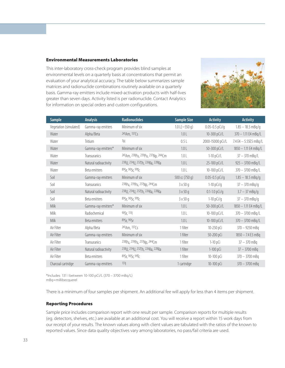#### Environmental Measurements Laboratories

This inter-laboratory cross-check program provides blind samples at environmental levels on a quarterly basis at concentrations that permit an evaluation of your analytical accuracy. The table below summarizes sample matrices and radionuclide combinations routinely available on a quarterly basis. Gamma-ray emitters include mixed-activation products with half-lives greater than seven days. Activity listed is per radionuclide. Contact Analytics for information on special orders and custom configurations.



| <b>Sample</b>          | <b>Analysis</b>       | <b>Radionuclides</b>              | <b>Sample Size</b>   | <b>Activity</b>    | <b>Activity</b>          |
|------------------------|-----------------------|-----------------------------------|----------------------|--------------------|--------------------------|
| Vegetation (simulated) | Gamma-ray emitters    | Minimum of six                    | 1.0 L( $\sim$ 550 g) | $0.05 - 0.5$ pCi/g | $1.85 - 18.5$ mBq/g      |
| Water                  | Alpha/Beta            | 241Am, 137Cs                      | 1.0 <sub>L</sub>     | 10-300 pCi/L       | $370 - 1.11$ E4 mBq/L    |
| Water                  | <b>Tritium</b>        | 3H                                | 0.5L                 | 2000-15000 pCi/L   | 7.4 E4 - 5.55E5 mBq/L    |
| Water                  | Gamma-ray emitters*   | Minimum of six                    | 1.0 <sub>L</sub>     | 50-300 pCi/L       | 1850 - 1.11 E4 mBq/L     |
| Water                  | Transuranics          | 241Am, 238Pu, 239Pu, 237Np, 244Cm | 1.0 <sub>L</sub>     | $1-10$ pCi/L       | $37 - 370$ mBq/L         |
| Water                  | Natural radioactivity | 238U, 234U, 232Th, 226Ra, 228Ra   | 1.0 <sub>L</sub>     | 25-100 pCi/L       | $925 - 3700$ mBq/L       |
| Water                  | Beta emitters         | 89Sr, 90Sr, 99Tc                  | 1.0 <sub>L</sub>     | 10-100 pCi/L       | $370 - 3700$ mBq/L       |
| Soil                   | Gamma-ray emitters    | Minimum of six                    | 500 cc (750 g)       | $0.05 - 0.5$ pCi/q | $1.85 - 18.5$ mBq/g      |
| Soil                   | Transuranics          | 238Pu, 239Pu, 237Np, 244Cm        | $3 \times 50$ q      | $1-10$ pCi/g       | $37 - 370$ mBq/q         |
| Soil                   | Natural radioactivity | 238U, 234U, 232Th, 226Ra, 228Ra   | $3 \times 50$ q      | $0.1 - 1.0$ pCi/g  | $3.7 - 37 \text{ mBq/q}$ |
| Soil                   | Beta emitters         | 89Sr, 90Sr, 99Tc                  | $3 \times 50$ q      | $1-10$ pCi/g       | $37 - 370$ mBq/q         |
| <b>Milk</b>            | Gamma-ray emitters*   | Minimum of six                    | 1.0 <sub>L</sub>     | 50-300 pCi/L       | 1850 - 1.11 E4 mBq/L     |
| Milk                   | Radiochemical         | 90Sr, 131                         | 1.0 <sub>L</sub>     | 10-100 pCi/L       | $370 - 3700$ mBq/L       |
| <b>Milk</b>            | Beta emitters         | 89Sr, 90Sr                        | 1.0 <sub>L</sub>     | 10-100 pCi/L       | $370 - 3700$ mBq/L       |
| Air Filter             | Alpha/Beta            | 241Am, 137Cs                      | 1 filter             | 10-250 pCi         | $370 - 9250$ mBq         |
| Air Filter             | Gamma-ray emitters    | Minimum of six                    | 1 filter             | 50-200 pCi         | $1850 - 7.4 E3 mBq$      |
| Air Filter             | Transuranics          | 238Pu, 239Pu, 237Np, 244Cm        | 1 filter             | $1-10$ pCi         | $37 - 370$ mBq           |
| Air Filter             | Natural radioactivity | 238U, 234U, 232Th, 226Ra, 228Ra   | 1 filter             | 1-100 pCi          | $37 - 3700$ mBq          |
| Air Filter             | Beta emitters         | 89Sr, 90Sr, 99Tc                  | 1 filter             | 10-100 pCi         | $370 - 3700$ mBa         |
| Charcoal cartridge     | Gamma-ray emitters    | 131                               | 1 cartridge          | 10-100 pCi         | $370 - 3700$ mBa         |

\*Includes 131 I between 10-100 pCi/L (370 – 3700 mBq/L) mBq=millibecquerel

There is a minimum of four samples per shipment. An additional fee will apply for less than 4 items per shipment.

#### Reporting Procedures

Sample price includes comparison report with one result per sample. Comparison reports for multiple results (eg. detectors, shelves, etc.) are available at an additional cost. You will receive a report within 15 work days from our receipt of your results. The known values along with client values are tabulated with the ratios of the known to reported values. Since data quality objectives vary among laboratories, no pass/fail criteria are used.